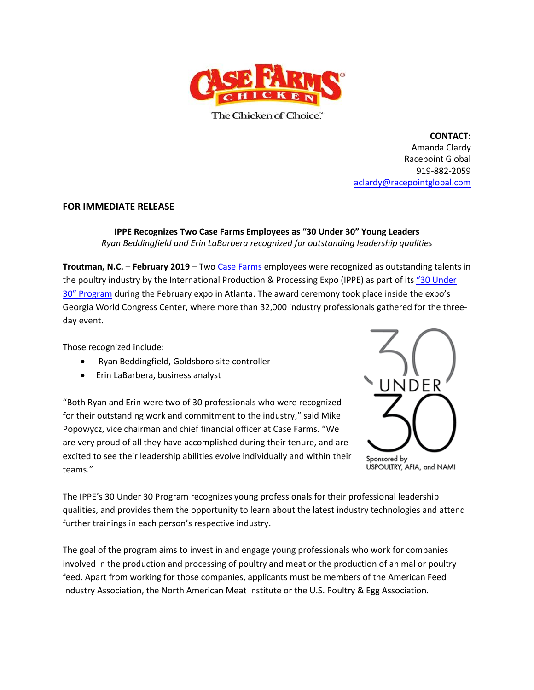

The Chicken of Choice."

**CONTACT:** Amanda Clardy Racepoint Global 919-882-2059 [aclardy@racepointglobal.com](mailto:aclardy@racepointglobal.com)

## **FOR IMMEDIATE RELEASE**

**IPPE Recognizes Two Case Farms Employees as "30 Under 30" Young Leaders** *Ryan Beddingfield and Erin LaBarbera recognized for outstanding leadership qualities*

**Troutman, N.C.** – **February 2019** – Two [Case Farms](file:///C:/Users/aclardy/AppData/Local/Microsoft/Windows/INetCache/Content.Outlook/AZ77P55M/Case%20Farms) employees were recognized as outstanding talents in the poultry industry by the International Production & Processing Expo (IPPE) as part of its "[30 Under](https://www.ippexpo.org/30Under30/)  30" [Program](https://www.ippexpo.org/30Under30/) during the February expo in Atlanta. The award ceremony took place inside the expo's Georgia World Congress Center, where more than 32,000 industry professionals gathered for the threeday event.

Those recognized include:

- Ryan Beddingfield, Goldsboro site controller
- Erin LaBarbera, business analyst

"Both Ryan and Erin were two of 30 professionals who were recognized for their outstanding work and commitment to the industry," said Mike Popowycz, vice chairman and chief financial officer at Case Farms. "We are very proud of all they have accomplished during their tenure, and are excited to see their leadership abilities evolve individually and within their teams."



The IPPE's 30 Under 30 Program recognizes young professionals for their professional leadership qualities, and provides them the opportunity to learn about the latest industry technologies and attend further trainings in each person's respective industry.

The goal of the program aims to invest in and engage young professionals who work for companies involved in the production and processing of poultry and meat or the production of animal or poultry feed. Apart from working for those companies, applicants must be members of the American Feed Industry Association, the North American Meat Institute or the U.S. Poultry & Egg Association.